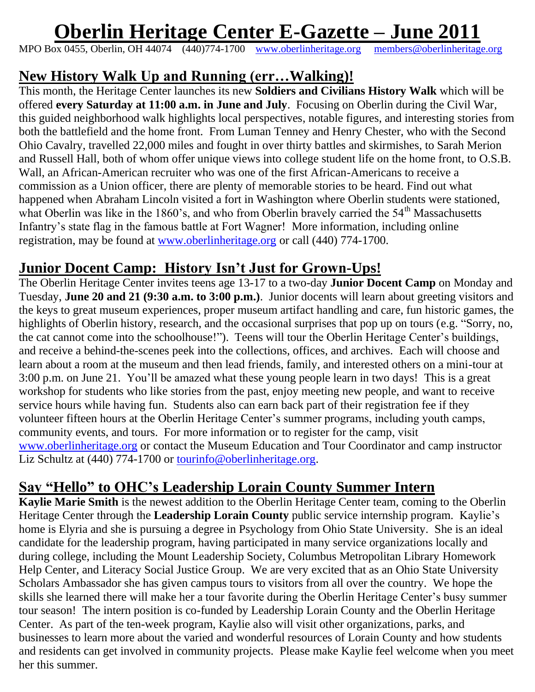# **Oberlin Heritage Center E-Gazette – June 2011**

MPO Box 0455, Oberlin, OH 44074 (440)774-1700 [www.oberlinheritage.org](http://www.oberlinheritage.org/) [members@oberlinheritage.org](mailto:members@oberlinheritage.org)

#### **New History Walk Up and Running (err…Walking)!**

This month, the Heritage Center launches its new **Soldiers and Civilians History Walk** which will be offered **every Saturday at 11:00 a.m. in June and July**. Focusing on Oberlin during the Civil War, this guided neighborhood walk highlights local perspectives, notable figures, and interesting stories from both the battlefield and the home front. From Luman Tenney and Henry Chester, who with the Second Ohio Cavalry, travelled 22,000 miles and fought in over thirty battles and skirmishes, to Sarah Merion and Russell Hall, both of whom offer unique views into college student life on the home front, to O.S.B. Wall, an African-American recruiter who was one of the first African-Americans to receive a commission as a Union officer, there are plenty of memorable stories to be heard. Find out what happened when Abraham Lincoln visited a fort in Washington where Oberlin students were stationed, what Oberlin was like in the 1860's, and who from Oberlin bravely carried the 54<sup>th</sup> Massachusetts Infantry's state flag in the famous battle at Fort Wagner! More information, including online registration, may be found at [www.oberlinheritage.org](http://www.oberlinheritage.org/) or call (440) 774-1700.

# **Junior Docent Camp: History Isn't Just for Grown-Ups!**

The Oberlin Heritage Center invites teens age 13-17 to a two-day **Junior Docent Camp** on Monday and Tuesday, **June 20 and 21 (9:30 a.m. to 3:00 p.m.)**. Junior docents will learn about greeting visitors and the keys to great museum experiences, proper museum artifact handling and care, fun historic games, the highlights of Oberlin history, research, and the occasional surprises that pop up on tours (e.g. "Sorry, no, the cat cannot come into the schoolhouse!"). Teens will tour the Oberlin Heritage Center's buildings, and receive a behind-the-scenes peek into the collections, offices, and archives. Each will choose and learn about a room at the museum and then lead friends, family, and interested others on a mini-tour at 3:00 p.m. on June 21. You'll be amazed what these young people learn in two days! This is a great workshop for students who like stories from the past, enjoy meeting new people, and want to receive service hours while having fun. Students also can earn back part of their registration fee if they volunteer fifteen hours at the Oberlin Heritage Center's summer programs, including youth camps, community events, and tours. For more information or to register for the camp, visit [www.oberlinheritage.org](http://www.oberlinheritage.org/) or contact the Museum Education and Tour Coordinator and camp instructor Liz Schultz at (440) 774-1700 or <u>tourinfo@oberlinheritage.org</u>.

## **Say "Hello" to OHC's Leadership Lorain County Summer Intern**

**Kaylie Marie Smith** is the newest addition to the Oberlin Heritage Center team, coming to the Oberlin Heritage Center through the **Leadership Lorain County** public service internship program. Kaylie's home is Elyria and she is pursuing a degree in Psychology from Ohio State University. She is an ideal candidate for the leadership program, having participated in many service organizations locally and during college, including the Mount Leadership Society, Columbus Metropolitan Library Homework Help Center, and Literacy Social Justice Group. We are very excited that as an Ohio State University Scholars Ambassador she has given campus tours to visitors from all over the country. We hope the skills she learned there will make her a tour favorite during the Oberlin Heritage Center's busy summer tour season! The intern position is co-funded by Leadership Lorain County and the Oberlin Heritage Center. As part of the ten-week program, Kaylie also will visit other organizations, parks, and businesses to learn more about the varied and wonderful resources of Lorain County and how students and residents can get involved in community projects. Please make Kaylie feel welcome when you meet her this summer.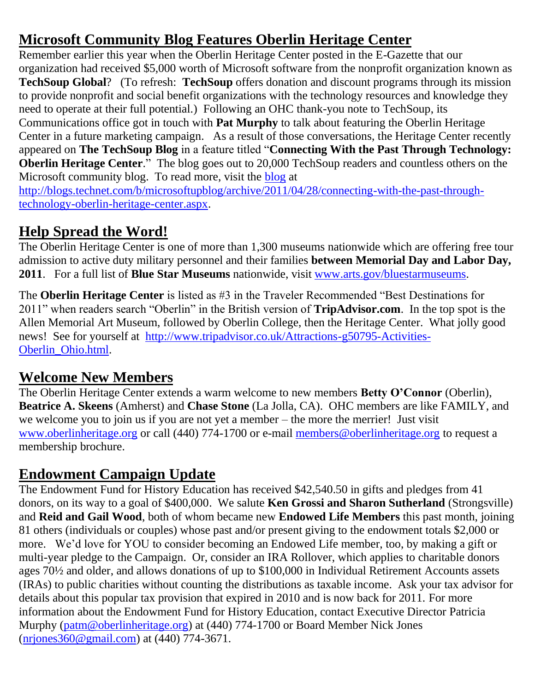# **Microsoft Community Blog Features Oberlin Heritage Center**

Remember earlier this year when the Oberlin Heritage Center posted in the E-Gazette that our organization had received \$5,000 worth of Microsoft software from the nonprofit organization known as **TechSoup Global**?(To refresh: **TechSoup** offers donation and discount programs through its mission to provide nonprofit and social benefit organizations with the technology resources and knowledge they need to operate at their full potential.) Following an OHC thank-you note to TechSoup, its Communications office got in touch with **Pat Murphy** to talk about featuring the Oberlin Heritage Center in a future marketing campaign. As a result of those conversations, the Heritage Center recently appeared on **The TechSoup Blog** in a feature titled "**Connecting With the Past Through Technology: Oberlin Heritage Center.**" The blog goes out to 20,000 TechSoup readers and countless others on the Microsoft community blog. To read more, visit the [blog](http://blogs.technet.com/b/microsoftupblog/archive/2011/04/28/connecting-with-the-past-through-technology-oberlin-heritage-center.aspx) at [http://blogs.technet.com/b/microsoftupblog/archive/2011/04/28/connecting-with-the-past-through](http://blogs.technet.com/b/microsoftupblog/archive/2011/04/28/connecting-with-the-past-through-technology-oberlin-heritage-center.aspx)[technology-oberlin-heritage-center.aspx.](http://blogs.technet.com/b/microsoftupblog/archive/2011/04/28/connecting-with-the-past-through-technology-oberlin-heritage-center.aspx)

# **Help Spread the Word!**

The Oberlin Heritage Center is one of more than 1,300 museums nationwide which are offering free tour admission to active duty military personnel and their families **between Memorial Day and Labor Day, 2011**. For a full list of **Blue Star Museums** nationwide, visit [www.arts.gov/bluestarmuseums.](http://www.arts.gov/bluestarmuseums)

The **Oberlin Heritage Center** is listed as #3 in the Traveler Recommended "Best Destinations for 2011" when readers search "Oberlin" in the British version of **TripAdvisor.com**. In the top spot is the Allen Memorial Art Museum, followed by Oberlin College, then the Heritage Center. What jolly good news! See for yourself at [http://www.tripadvisor.co.uk/Attractions-g50795-Activities-](http://www.tripadvisor.co.uk/Attractions-g50795-Activities-Oberlin_Ohio.html)[Oberlin\\_Ohio.html.](http://www.tripadvisor.co.uk/Attractions-g50795-Activities-Oberlin_Ohio.html)

## **Welcome New Members**

The Oberlin Heritage Center extends a warm welcome to new members **Betty O'Connor** (Oberlin), **Beatrice A. Skeens** (Amherst) and **Chase Stone** (La Jolla, CA). OHC members are like FAMILY, and we welcome you to join us if you are not yet a member – the more the merrier! Just visit [www.oberlinheritage.org](http://www.oberlinheritage.org/) or call (440) 774-1700 or e-mail [members@oberlinheritage.org](mailto:members@oberlinheritage.org) to request a membership brochure.

# **Endowment Campaign Update**

The Endowment Fund for History Education has received \$42,540.50 in gifts and pledges from 41 donors, on its way to a goal of \$400,000. We salute **Ken Grossi and Sharon Sutherland** (Strongsville) and **Reid and Gail Wood**, both of whom became new **Endowed Life Members** this past month, joining 81 others (individuals or couples) whose past and/or present giving to the endowment totals \$2,000 or more. We'd love for YOU to consider becoming an Endowed Life member, too, by making a gift or multi-year pledge to the Campaign. Or, consider an IRA Rollover, which applies to charitable donors ages 70½ and older, and allows donations of up to \$100,000 in Individual Retirement Accounts assets (IRAs) to public charities without counting the distributions as taxable income. Ask your tax advisor for details about this popular tax provision that expired in 2010 and is now back for 2011. For more information about the Endowment Fund for History Education, contact Executive Director Patricia Murphy [\(patm@oberlinheritage.org\)](mailto:patm@oberlinheritage.org) at (440) 774-1700 or Board Member Nick Jones [\(nrjones360@gmail.com\)](mailto:nrjones360@gmail.com) at (440) 774-3671.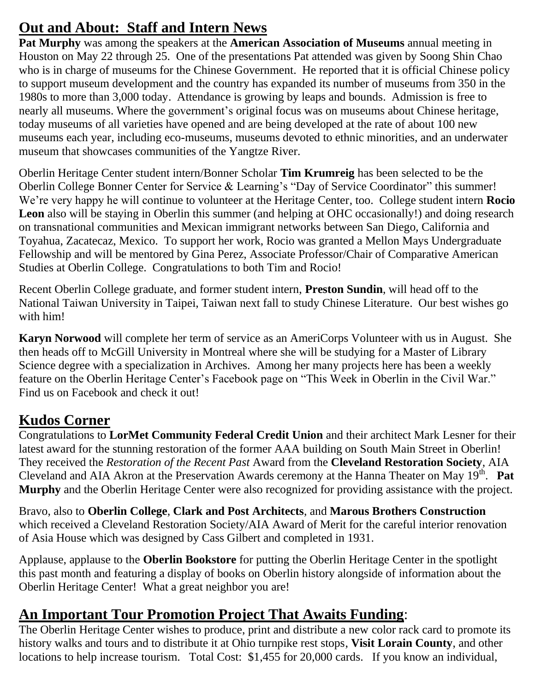# **Out and About: Staff and Intern News**

**Pat Murphy** was among the speakers at the **American Association of Museums** annual meeting in Houston on May 22 through 25. One of the presentations Pat attended was given by Soong Shin Chao who is in charge of museums for the Chinese Government. He reported that it is official Chinese policy to support museum development and the country has expanded its number of museums from 350 in the 1980s to more than 3,000 today. Attendance is growing by leaps and bounds. Admission is free to nearly all museums. Where the government's original focus was on museums about Chinese heritage, today museums of all varieties have opened and are being developed at the rate of about 100 new museums each year, including eco-museums, museums devoted to ethnic minorities, and an underwater museum that showcases communities of the Yangtze River.

Oberlin Heritage Center student intern/Bonner Scholar **Tim Krumreig** has been selected to be the Oberlin College Bonner Center for Service & Learning's "Day of Service Coordinator" this summer! We're very happy he will continue to volunteer at the Heritage Center, too. College student intern **Rocio**  Leon also will be staying in Oberlin this summer (and helping at OHC occasionally!) and doing research on transnational communities and Mexican immigrant networks between San Diego, California and Toyahua, Zacatecaz, Mexico. To support her work, Rocio was granted a Mellon Mays Undergraduate Fellowship and will be mentored by Gina Perez, Associate Professor/Chair of Comparative American Studies at Oberlin College. Congratulations to both Tim and Rocio!

Recent Oberlin College graduate, and former student intern, **Preston Sundin**, will head off to the National Taiwan University in Taipei, Taiwan next fall to study Chinese Literature. Our best wishes go with him!

**Karyn Norwood** will complete her term of service as an AmeriCorps Volunteer with us in August. She then heads off to McGill University in Montreal where she will be studying for a Master of Library Science degree with a specialization in Archives. Among her many projects here has been a weekly feature on the Oberlin Heritage Center's Facebook page on "This Week in Oberlin in the Civil War." Find us on Facebook and check it out!

## **Kudos Corner**

Congratulations to **LorMet Community Federal Credit Union** and their architect Mark Lesner for their latest award for the stunning restoration of the former AAA building on South Main Street in Oberlin! They received the *Restoration of the Recent Past* Award from the **Cleveland Restoration Society**, AIA Cleveland and AIA Akron at the Preservation Awards ceremony at the Hanna Theater on May 19<sup>th</sup>. Pat **Murphy** and the Oberlin Heritage Center were also recognized for providing assistance with the project.

Bravo, also to **Oberlin College**, **Clark and Post Architects**, and **Marous Brothers Construction** which received a Cleveland Restoration Society/AIA Award of Merit for the careful interior renovation of Asia House which was designed by Cass Gilbert and completed in 1931.

Applause, applause to the **Oberlin Bookstore** for putting the Oberlin Heritage Center in the spotlight this past month and featuring a display of books on Oberlin history alongside of information about the Oberlin Heritage Center! What a great neighbor you are!

## **An Important Tour Promotion Project That Awaits Funding**:

The Oberlin Heritage Center wishes to produce, print and distribute a new color rack card to promote its history walks and tours and to distribute it at Ohio turnpike rest stops, **Visit Lorain County**, and other locations to help increase tourism. Total Cost: \$1,455 for 20,000 cards. If you know an individual,